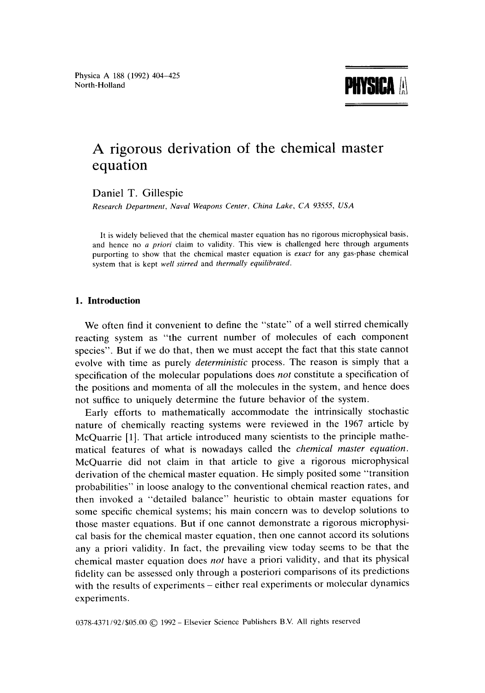

# **A rigorous derivation of the chemical master equation**

Daniel T. Gillespie

*Research Department, Naval Weapons Center, China Lake, CA 93555, USA* 

It is widely believed that the chemical master equation has no rigorous microphysical basis, and hence no *a priori* claim to validity. This view is challenged here through arguments purporting to show that the chemical master equation is *exact* for any gas-phase chemical system that is kept *well stirred* and *thermally equilibrated.* 

## **1. Introduction**

We often find it convenient to define the "state" of a well stirred chemically reacting system as "the current number of molecules of each component species". But if we do that, then we must accept the fact that this state cannot evolve with time as purely *deterministic* process. The reason is simply that a specification of the molecular populations does *not* constitute a specification of the positions and momenta of all the molecules in the system, and hence does not suffice to uniquely determine the future behavior of the system.

Early efforts to mathematically accommodate the intrinsically stochastic nature of chemically reacting systems were reviewed in the 1967 article by McQuarrie [1]. That article introduced many scientists to the principle mathematical features of what is nowadays called the *chemical master equation.*  McQuarrie did not claim in that article to give a rigorous microphysical derivation of the chemical master equation. He simply posited some "transition probabilities" in loose analogy to the conventional chemical reaction rates, and then invoked a "detailed balance" heuristic to obtain master equations for some specific chemical systems; his main concern was to develop solutions to those master equations. But if one cannot demonstrate a rigorous microphysical basis for the chemical master equation, then one cannot accord its solutions any a priori validity. In fact, the prevailing view today seems to be that the chemical master equation does *not* have a priori validity, and that its physical fidelity can be assessed only through a posteriori comparisons of its predictions with the results of experiments - either real experiments or molecular dynamics experiments.

0378-4371/92/\$05.00 © 1992- Elsevier Science Publishers B.V. All rights reserved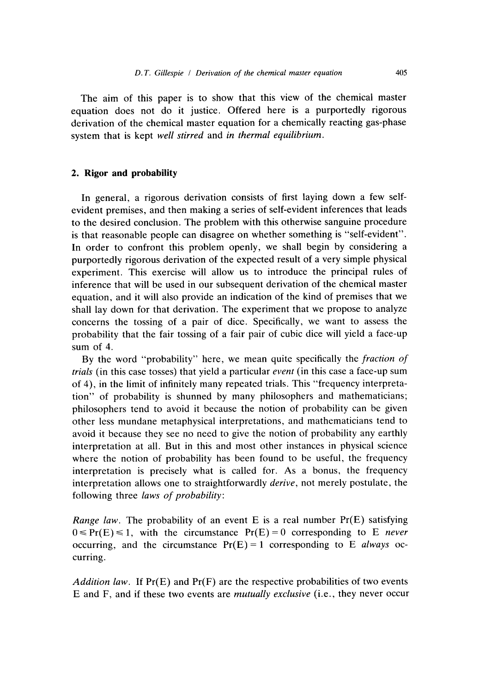The aim of this paper is to show that this view of the chemical master equation does not do it justice. Offered here is a purportedly rigorous derivation of the chemical master equation for a chemically reacting gas-phase system that is kept *well stirred* and *in thermal equilibrium.* 

# **2. Rigor and probability**

In general, a rigorous derivation consists of first laying down a few selfevident premises, and then making a series of self-evident inferences that leads to the desired conclusion. The problem with this otherwise sanguine procedure is that reasonable people can disagree on whether something is "self-evident". In order to confront this problem openly, we shall begin by considering a purportedly rigorous derivation of the expected result of a very simple physical experiment. This exercise will allow us to introduce the principal rules of inference that will be used in our subsequent derivation of the chemical master equation, and it will also provide an indication of the kind of premises that we shall lay down for that derivation. The experiment that we propose to analyze concerns the tossing of a pair of dice. Specifically, we want to assess the probability that the fair tossing of a fair pair of cubic dice will yield a face-up sum of 4.

By the word "probability" here, we mean quite specifically the *fraction of trials* (in this case tosses) that yield a particular *event* (in this case a face-up sum of 4), in the limit of infinitely many repeated trials. This "frequency interpretation" of probability is shunned by many philosophers and mathematicians; philosophers tend to avoid it because the notion of probability can be given other less mundane metaphysical interpretations, and mathematicians tend to avoid it because they see no need to give the notion of probability any earthly interpretation at all. But in this and most other instances in physical science where the notion of probability has been found to be useful, the frequency interpretation is precisely what is called for. As a bonus, the frequency interpretation allows one to straightforwardly *derive,* not merely postulate, the following three *laws of probability:* 

*Range law.* The probability of an event E is a real number  $Pr(E)$  satisfying  $0 \leq Pr(E) \leq 1$ , with the circumstance  $Pr(E) = 0$  corresponding to E *never* occurring, and the circumstance  $Pr(E) = 1$  corresponding to E *always* occurring.

*Addition law.* If  $Pr(E)$  and  $Pr(F)$  are the respective probabilities of two events E and F, and if these two events are *mutually exclusive* (i.e., they never occur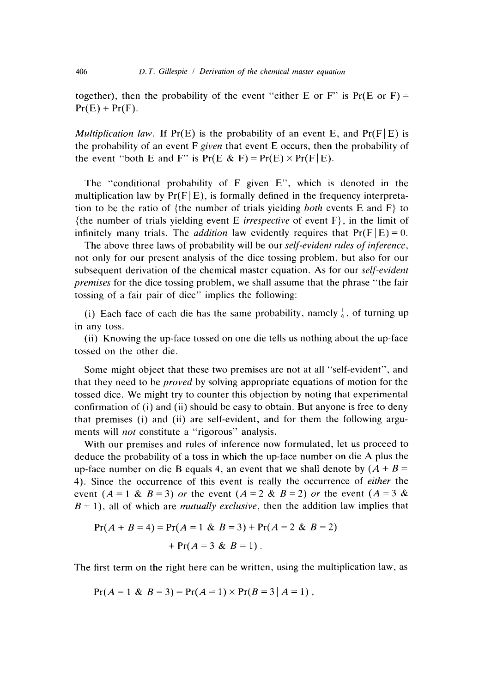together), then the probability of the event "either E or F" is  $Pr(E \text{ or } F)$  =  $Pr(E) + Pr(F)$ .

*Multiplication law.* If  $Pr(E)$  is the probability of an event E, and  $Pr(F|E)$  is the probability of an event F *given* that event E occurs, then the probability of the event "both E and F" is  $Pr(E \& F) = Pr(E) \times Pr(F | E)$ .

The "conditional probability of F given E", which is denoted in the multiplication law by  $Pr(F|E)$ , is formally defined in the frequency interpretation to be the ratio of {the number of trials yielding *both* events E and F} to {the number of trials yielding event E *irrespective* of event F}, in the limit of infinitely many trials. The *addition* law evidently requires that  $Pr(F|E) = 0$ .

The above three laws of probability will be our *self-evident rules of inference,*  not only for our present analysis of the dice tossing problem, but also for our subsequent derivation of the chemical master equation. As for our *self-evident premises* for the dice tossing problem, we shall assume that the phrase "the fair tossing of a fair pair of dice" implies the following:

(i) Each face of each die has the same probability, namely  $\frac{1}{6}$ , of turning up in any toss.

(ii) Knowing the up-face tossed on one die tells us nothing about the up-face tossed on the other die.

Some might object that these two premises are not at all "self-evident", and that they need to be *proved* by solving appropriate equations of motion for the tossed dice. We might try to counter this objection by noting that experimental confirmation of (i) and (ii) should be easy to obtain. But anyone is free to deny that premises (i) and (ii) are self-evident, and for them the following arguments will *not* constitute a "rigorous" analysis.

With our premises and rules of inference now formulated, let us proceed to deduce the probability of a toss in which the up-face number on die A plus the up-face number on die B equals 4, an event that we shall denote by  $(A + B =$ 4). Since the occurrence of this event is really the occurrence of *either* the event  $(A=1 \& B=3)$  *or* the event  $(A=2 \& B=2)$  *or* the event  $(A=3 \&$  $B = 1$ ), all of which are *mutually exclusive*, then the addition law implies that

$$
Pr(A + B = 4) = Pr(A = 1 & B = 3) + Pr(A = 2 & B = 2) \\
\quad + Pr(A = 3 & B = 1) \, .
$$

The first term on the right here can be written, using the multiplication law, as

$$
Pr(A = 1 \& B = 3) = Pr(A = 1) \times Pr(B = 3 | A = 1),
$$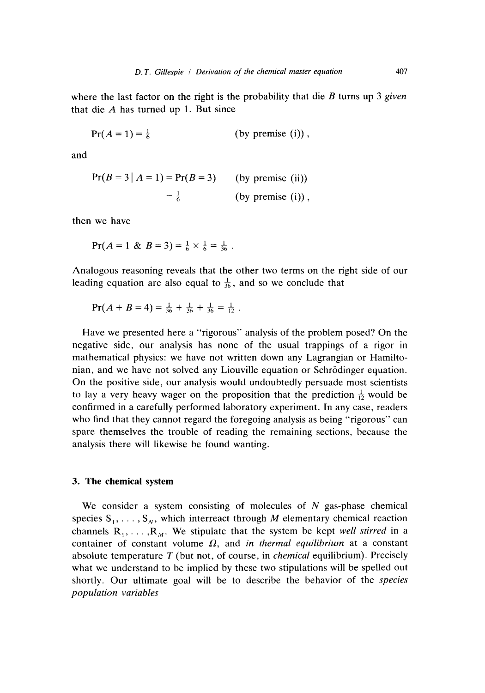where the last factor on the right is the probability that die B turns up 3 *given*  that die  $A$  has turned up 1. But since

$$
Pr(A = 1) = \frac{1}{6}
$$
 (by premise (i)),

and

$$
Pr(B = 3 | A = 1) = Pr(B = 3)
$$
 (by premise (ii))  
=  $\frac{1}{6}$  (by premise (i)),

then we have

$$
Pr(A = 1 \& B = 3) = \frac{1}{6} \times \frac{1}{6} = \frac{1}{36} .
$$

Analogous reasoning reveals that the other two terms on the right side of our leading equation are also equal to  $\frac{1}{36}$ , and so we conclude that

$$
Pr(A + B = 4) = \frac{1}{36} + \frac{1}{36} + \frac{1}{36} = \frac{1}{12} .
$$

Have we presented here a "rigorous" analysis of the problem posed? On the negative side, our analysis has none of the usual trappings of a rigor in mathematical physics: we have not written down any Lagrangian or Hamiltonian, and we have not solved any Liouville equation or Schrödinger equation. On the positive side, our analysis would undoubtedly persuade most scientists to lay a very heavy wager on the proposition that the prediction  $\frac{1}{12}$  would be confirmed in a carefully performed laboratory experiment. In any case, readers who find that they cannot regard the foregoing analysis as being "rigorous" can spare themselves the trouble of reading the remaining sections, because the analysis there will likewise be found wanting.

## **3. The chemical system**

We consider a system consisting of molecules of  $N$  gas-phase chemical species  $S_1, \ldots, S_N$ , which interreact through M elementary chemical reaction channels  $R_1, \ldots, R_M$ . We stipulate that the system be kept *well stirred* in a container of constant volume  $\Omega$ , and *in thermal equilibrium* at a constant absolute temperature T (but not, of course, in *chemical* equilibrium). Precisely what we understand to be implied by these two stipulations will be spelled out shortly. Our ultimate goal will be to describe the behavior of the *species population variables*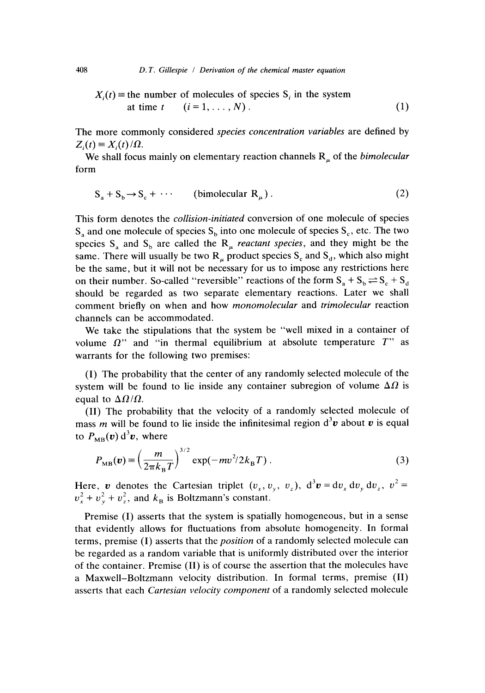$$
X_i(t) \equiv
$$
 the number of molecules of species  $S_i$  in the system  
at time  $t$   $(i = 1, ..., N)$ . (1)

The more commonly considered *species concentration variables* are defined by  $Z_i(t) \equiv X_i(t)/\Omega$ .

We shall focus mainly on elementary reaction channels  $R<sub>\mu</sub>$  of the *bimolecular* form

$$
S_a + S_b \to S_c + \cdots \qquad \text{(bimolecular } R_\mu \text{)}.
$$
 (2)

This form denotes the *collision-initiated* conversion of one molecule of species  $S_a$  and one molecule of species  $S_b$  into one molecule of species  $S_c$ , etc. The two species  $S_a$  and  $S_b$  are called the  $R_\mu$  *reactant species*, and they might be the same. There will usually be two  $R_{\mu}$  product species  $S_c$  and  $S_d$ , which also might be the same, but it will not be necessary for us to impose any restrictions here on their number. So-called "reversible" reactions of the form  $S_a + S_b \rightleftharpoons S_c + S_d$ should be regarded as two separate elementary reactions. Later we shall comment briefly on when and how *monomolecular* and *trimolecular* reaction channels can be accommodated.

We take the stipulations that the system be "well mixed in a container of volume  $\Omega$ " and "in thermal equilibrium at absolute temperature  $T$ " as warrants for the following two premises:

(I) The probability that the center of any randomly selected molecule of the system will be found to lie inside any container subregion of volume  $\Delta \Omega$  is equal to  $\Delta \Omega / \Omega$ .

(II) The probability that the velocity of a randomly selected molecule of mass m will be found to lie inside the infinitesimal region  $d^3v$  about v is equal to  $P_{\text{MB}}(v) d^3 v$ , where

$$
P_{MB}(\mathbf{v}) = \left(\frac{m}{2\pi k_B T}\right)^{3/2} \exp(-mv^2/2k_B T) \,. \tag{3}
$$

Here, *v* denotes the Cartesian triplet  $(v_x, v_y, v_z)$ ,  $d^3$ *v* =  $dv_x dv_y dv_z$ ,  $v^2 = v_x^2 + v_y^2 + v_z^2$ , and  $k_B$  is Boltzmann's constant.

Premise (I) asserts that the system is spatially homogeneous, but in a sense that evidently allows for fluctuations from absolute homogeneity. In formal terms, premise (I) asserts that the *position* of a randomly selected molecule can be regarded as a random variable that is uniformly distributed over the interior of the container. Premise (II) is of course the assertion that the molecules have a Maxweli-Boltzmann velocity distribution. In formal terms, premise (II) asserts that each *Cartesian velocity component* of a randomly selected molecule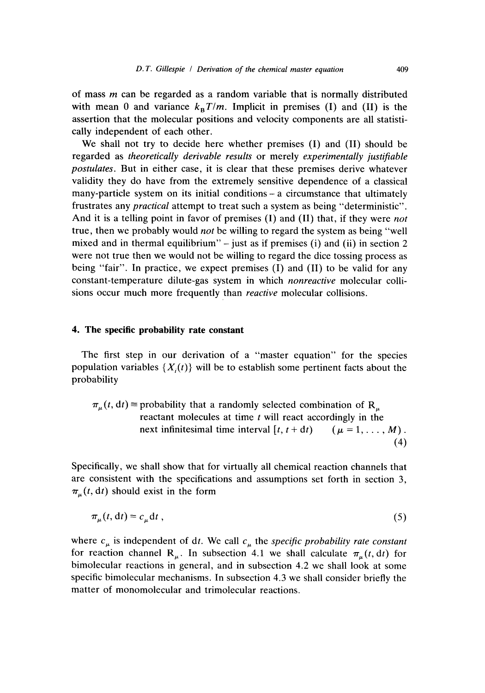of mass  $m$  can be regarded as a random variable that is normally distributed with mean 0 and variance  $k_B T/m$ . Implicit in premises (I) and (II) is the assertion that the molecular positions and velocity components are all statistically independent of each other.

We shall not try to decide here whether premises (I) and (II) should be regarded as *theoretically derivable results* or merely *experimentally justifiable postulates.* But in either case, it is clear that these premises derive whatever validity they do have from the extremely sensitive dependence of a classical many-particle system on its initial conditions- a circumstance that ultimately frustrates any *practical* attempt to treat such a system as being "deterministic". And it is a telling point in favor of premises (I) and (II) that, if they were *not*  true, then we probably would *not* be willing to regard the system as being "well mixed and in thermal equilibrium"  $-$  just as if premises (i) and (ii) in section 2 were not true then we would not be willing to regard the dice tossing process as being "fair". In practice, we expect premises (I) and (II) to be valid for any constant-temperature dilute-gas system in which *nonreactive* molecular collisions occur much more frequently than *reactive* molecular collisions.

# **4. The specific probability rate constant**

The first step in our derivation of a "master equation" for the species population variables  $\{X_i(t)\}\$  will be to establish some pertinent facts about the probability

$$
\pi_{\mu}(t, dt) \equiv
$$
probability that a randomly selected combination of R<sub>\mu</sub>  
reactant molecules at time *t* will react accordingly in the  
next infinitesimal time interval [*t*, *t* + d*t*) ( $\mu = 1, ..., M$ ).  
(4)

Specifically, we shall show that for virtually all chemical reaction channels that are consistent with the specifications and assumptions set forth in section 3,  $\pi_{\mu}(t, dt)$  should exist in the form

$$
\pi_{\mu}(t, \mathrm{d}t) = c_{\mu} \mathrm{d}t \,,\tag{5}
$$

where  $c_{\mu}$  is independent of dt. We call  $c_{\mu}$  the *specific probability rate constant* for reaction channel R<sub> $\mu$ </sub>. In subsection 4.1 we shall calculate  $\pi_{\mu}(t, dt)$  for bimolecular reactions in general, and in subsection 4.2 we shall look at some specific bimolecular mechanisms. In subsection 4.3 we shall consider briefly the matter of monomolecular and trimolecular reactions.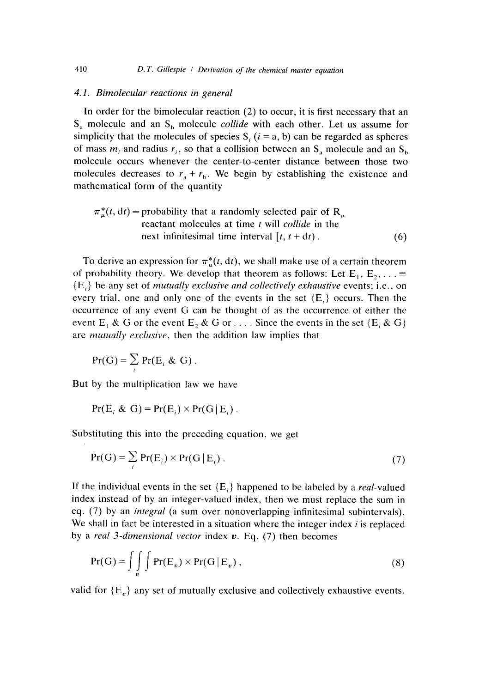#### *4.1. Bimolecular reactions in general*

In order for the bimolecular reaction (2) to occur, it is first necessary that an  $S_a$  molecule and an  $S_b$  molecule *collide* with each other. Let us assume for simplicity that the molecules of species  $S_i$  ( $i = a, b$ ) can be regarded as spheres of mass  $m_i$  and radius  $r_i$ , so that a collision between an S<sub>a</sub> molecule and an S<sub>b</sub> molecule occurs whenever the center-to-center distance between those two molecules decreases to  $r_a + r_b$ . We begin by establishing the existence and mathematical form of the quantity

$$
\pi_{\mu}^{*}(t, dt) \equiv
$$
probability that a randomly selected pair of R<sub>\mu</sub>  
reactant molecules at time *t* will *collide* in the  
next infinitesimal time interval [*t*, *t* + dt). (6)

To derive an expression for  $\pi_u^*(t, dt)$ , we shall make use of a certain theorem of probability theory. We develop that theorem as follows: Let  $E_1, E_2, \ldots \equiv$ {E~} be any set of *mutually exclusive and collectively exhaustive* events; i.e., on every trial, one and only one of the events in the set  ${E<sub>i</sub>}$  occurs. Then the occurrence of any event G can be thought of as the occurrence of either the event  $E_1 \& G$  or the event  $E_2 \& G$  or .... Since the events in the set  $\{E_i \& G\}$ are *mutually exclusive,* then the addition law implies that

$$
Pr(G) = \sum_{i} Pr(E_i \& G).
$$

But by the multiplication law we have

$$
Pr(E_i & G) = Pr(E_i) \times Pr(G | E_i).
$$

Substituting this into the preceding equation, we get

$$
Pr(G) = \sum_{i} Pr(E_i) \times Pr(G | E_i).
$$
 (7)

If the individual events in the set  ${E_i}$  happened to be labeled by a *real*-valued index instead of by an integer-valued index, then we must replace the sum in eq. (7) by an *integral* (a sum over nonoverlapping infinitesimal subintervals). We shall in fact be interested in a situation where the integer index  $i$  is replaced by a *real 3-dimensional vector* index v. Eq. (7) then becomes

$$
Pr(G) = \iiint_{v} Pr(E_v) \times Pr(G | E_v), \qquad (8)
$$

valid for  ${E<sub>v</sub>}$  any set of mutually exclusive and collectively exhaustive events.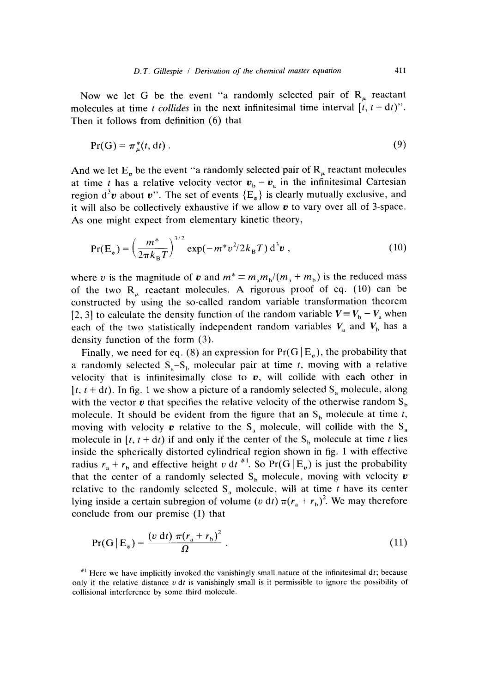Now we let G be the event "a randomly selected pair of  $R_{\mu}$  reactant molecules at time *t collides* in the next infinitesimal time interval  $[t, t + dt)$ ". Then it follows from definition (6) that

$$
\Pr(G) = \pi_u^*(t, dt). \tag{9}
$$

And we let  $E_n$  be the event "a randomly selected pair of  $R_u$  reactant molecules at time t has a relative velocity vector  $v_b - v_a$  in the infinitesimal Cartesian region  $d^3v$  about v". The set of events  ${E<sub>n</sub>}$  is clearly mutually exclusive, and it will also be collectively exhaustive if we allow  $v$  to vary over all of 3-space. As one might expect from elementary kinetic theory,

$$
Pr(E_v) = \left(\frac{m^*}{2\pi k_B T}\right)^{3/2} \exp(-m^*v^2/2k_B T) d^3v , \qquad (10)
$$

where v is the magnitude of v and  $m^* \equiv m_a m_b/(m_a + m_b)$  is the reduced mass of the two  $R_{\mu}$  reactant molecules. A rigorous proof of eq. (10) can be constructed by using the so-called random variable transformation theorem [2, 3] to calculate the density function of the random variable  $V = V_b - V_a$  when each of the two statistically independent random variables  $V_a$  and  $V_b$  has a density function of the form (3).

Finally, we need for eq. (8) an expression for  $Pr(G | E<sub>n</sub>)$ , the probability that a randomly selected  $S_n-S_b$  molecular pair at time t, moving with a relative velocity that is infinitesimally close to  $v$ , will collide with each other in  $[t, t + dt)$ . In fig. 1 we show a picture of a randomly selected  $S_a$  molecule, along with the vector  $v$  that specifies the relative velocity of the otherwise random  $S_b$ molecule. It should be evident from the figure that an  $S_b$  molecule at time t, moving with velocity  $v$  relative to the  $S_a$  molecule, will collide with the  $S_a$ molecule in  $[t, t + dt)$  if and only if the center of the S<sub>b</sub> molecule at time t lies inside the spherically distorted cylindrical region shown in fig. 1 with effective radius  $r_a + r_b$  and effective height v dt<sup>#1</sup>. So Pr(G | E<sub>v</sub>) is just the probability that the center of a randomly selected  $S_b$  molecule, moving with velocity v relative to the randomly selected  $S_a$  molecule, will at time t have its center lying inside a certain subregion of volume (v dt)  $\pi (r_a + r_b)^2$ . We may therefore conclude from our premise (I) that

$$
Pr(G | E_v) = \frac{(v \, dt) \, \pi (r_a + r_b)^2}{\Omega} \,. \tag{11}
$$

 $*$ <sup>1</sup> Here we have implicitly invoked the vanishingly small nature of the infinitesimal dt; because only if the relative distance  $v$  dt is vanishingly small is it permissible to ignore the possibility of collisional interference by some third molecule.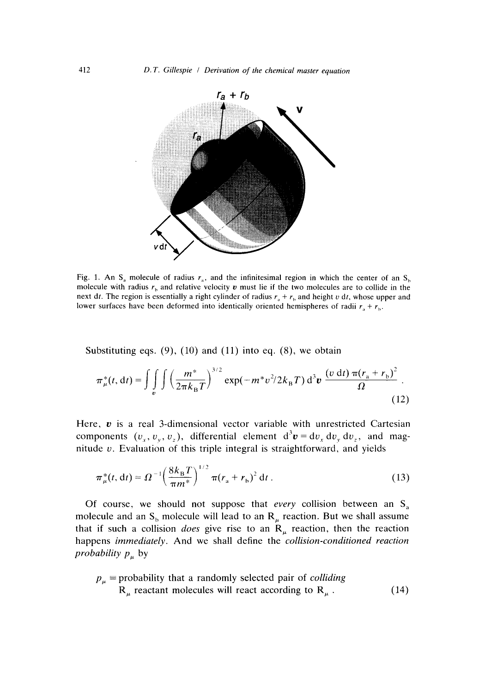

Fig. 1. An S<sub>a</sub> molecule of radius  $r_a$ , and the infinitesimal region in which the center of an S<sub>b</sub> molecule with radius  $r<sub>b</sub>$  and relative velocity v must lie if the two molecules are to collide in the next dt. The region is essentially a right cylinder of radius  $r_a + r_b$  and height v dt, whose upper and lower surfaces have been deformed into identically oriented hemispheres of radii  $r_a + r_b$ .

Substituting eqs.  $(9)$ ,  $(10)$  and  $(11)$  into eq.  $(8)$ , we obtain

$$
\pi_{\mu}^{*}(t, dt) = \iiint_{v} \left( \frac{m^{*}}{2\pi k_{B}T} \right)^{3/2} \exp(-m^{*}v^{2}/2k_{B}T) d^{3}v \frac{(v dt)\pi (r_{a} + r_{b})^{2}}{\Omega}.
$$
\n(12)

Here,  $v$  is a real 3-dimensional vector variable with unrestricted Cartesian components  $(v_x, v_y, v_z)$ , differential element  $d^3\mathbf{v} = dv_x dv_y dv_z$ , and magnitude  $v$ . Evaluation of this triple integral is straightforward, and yields

$$
\pi_{\mu}^{*}(t, dt) = \Omega^{-1} \left( \frac{8k_{B}T}{\pi m^{*}} \right)^{1/2} \pi (r_{a} + r_{b})^{2} dt.
$$
 (13)

Of course, we should not suppose that *every* collision between an S<sub>a</sub> molecule and an  $S_b$  molecule will lead to an  $R_\mu$  reaction. But we shall assume that if such a collision *does* give rise to an  $R_{\mu}$  reaction, then the reaction happens *immediately.* And we shall define the *collision-conditioned reaction probability*  $p_\mu$  by

$$
p_{\mu} = \text{probability that a randomly selected pair of colliding}
$$
  
R\_{\mu} reactant molecules will react according to R\_{\mu}. (14)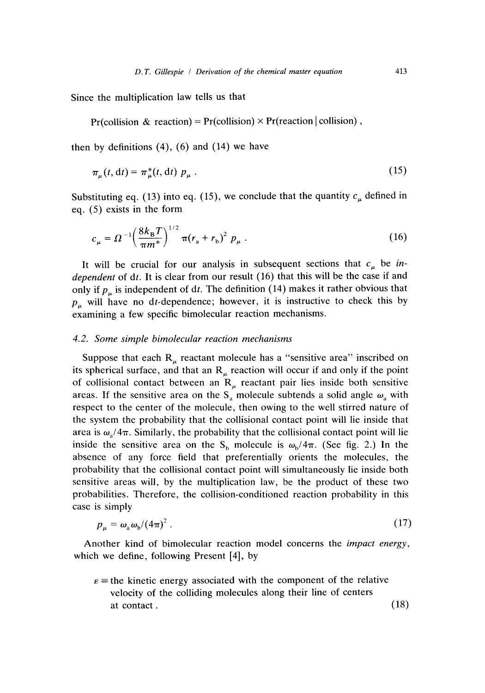Since the multiplication law tells us that

Pr(collision & reaction) = Pr(collision) × Pr(reaction | collision),

then by definitions  $(4)$ ,  $(6)$  and  $(14)$  we have

$$
\pi_{\mu}(t, \mathrm{d}t) = \pi_{\mu}^{*}(t, \mathrm{d}t) \ p_{\mu} \ . \tag{15}
$$

Substituting eq. (13) into eq. (15), we conclude that the quantity  $c<sub>\mu</sub>$  defined in eq. (5) exists in the form

$$
c_{\mu} = \Omega^{-1} \left( \frac{8k_{B}T}{\pi m^{*}} \right)^{1/2} \pi (r_{a} + r_{b})^{2} p_{\mu} . \qquad (16)
$$

It will be crucial for our analysis in subsequent sections that  $c<sub>u</sub>$  be *independent* of dt. It is clear from our result (16) that this will be the case if and only if  $p_u$  is independent of dt. The definition (14) makes it rather obvious that  $p_{\mu}$  will have no dt-dependence; however, it is instructive to check this by examining a few specific bimolecular reaction mechanisms.

#### *4.2. Some simple bimolecular reaction mechanisms*

Suppose that each  $R_{\mu}$  reactant molecule has a "sensitive area" inscribed on its spherical surface, and that an  $R_{\mu}$  reaction will occur if and only if the point of collisional contact between an  $R_{\mu}$  reactant pair lies inside both sensitive areas. If the sensitive area on the S<sub>a</sub> molecule subtends a solid angle  $\omega_a$  with respect to the center of the molecule, then owing to the well stirred nature of the system the probability that the collisional contact point will lie inside that area is  $\omega$ <sub>a</sub>/4 $\pi$ . Similarly, the probability that the collisional contact point will lie inside the sensitive area on the S<sub>b</sub> molecule is  $\omega_b/4\pi$ . (See fig. 2.) In the absence of any force field that preferentially orients the molecules, the probability that the collisional contact point will simultaneously lie inside both sensitive areas will, by the multiplication law, be the product of these two probabilities. Therefore, the collision-conditioned reaction probability in this case is simply

$$
p_{\mu} = \omega_{\rm a} \omega_{\rm b} / (4\pi)^2 \,. \tag{17}
$$

Another kind of bimolecular reaction model concerns the *impact energy,*  which we define, following Present [4], by

 $\epsilon$  = the kinetic energy associated with the component of the relative velocity of the colliding molecules along their line of centers at contact. **(18)**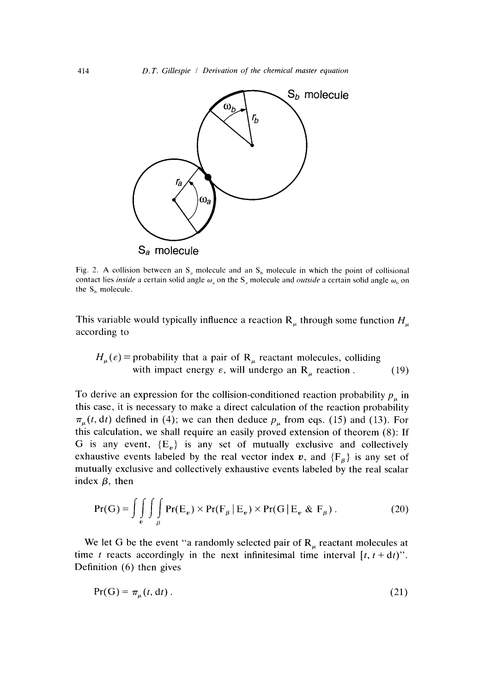

Fig. 2. A collision between an  $S_a$  molecule and an  $S_b$  molecule in which the point of collisional contact lies *inside* a certain solid angle  $\omega$ , on the S<sub>a</sub> molecule and *outside* a certain solid angle  $\omega$ <sub>b</sub> on the  $S_b$  molecule.

This variable would typically influence a reaction  $R_{\mu}$  through some function  $H_{\mu}$ according to

$$
H_{\mu}(\varepsilon) \equiv \text{probability that a pair of R}_{\mu} \text{ reactant molecules, colliding}
$$
  
with impact energy  $\varepsilon$ , will undergo an R<sub>u</sub> reaction. (19)

To derive an expression for the collision-conditioned reaction probability  $p_{\mu}$  in this case, it is necessary to make a direct calculation of the reaction probability  $\pi_{\mu}(t, dt)$  defined in (4); we can then deduce  $p_{\mu}$  from eqs. (15) and (13). For this calculation, we shall require an easily proved extension of theorem (8): If G is any event,  ${E<sub>n</sub>}$  is any set of mutually exclusive and collectively exhaustive events labeled by the real vector index  $v$ , and  ${F<sub>\beta</sub>}$  is any set of mutually exclusive and collectively exhaustive events labeled by the real scalar index  $\beta$ , then

$$
Pr(G) = \iiint_{v} Pr(E_v) \times Pr(F_{\beta} | E_v) \times Pr(G | E_v & F_{\beta}). \tag{20}
$$

We let G be the event "a randomly selected pair of  $R_{\mu}$  reactant molecules at time t reacts accordingly in the next infinitesimal time interval  $[t, t + dt)$ ". Definition (6) then gives

$$
Pr(G) = \pi_u(t, dt). \tag{21}
$$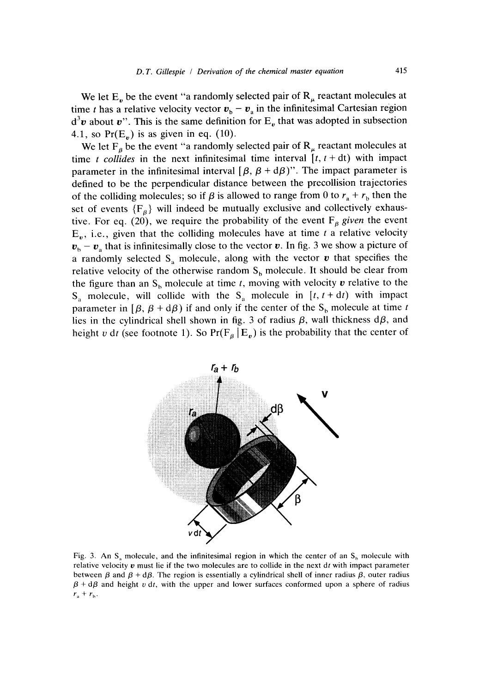We let  $E_n$  be the event "a randomly selected pair of  $R_u$  reactant molecules at time t has a relative velocity vector  $v_{b} - v_{a}$  in the infinitesimal Cartesian region  $d^3$ v about v". This is the same definition for  $E<sub>v</sub>$  that was adopted in subsection 4.1, so  $Pr(E_n)$  is as given in eq. (10).

We let  $F_a$  be the event "a randomly selected pair of  $R_\mu$  reactant molecules at time *t collides* in the next infinitesimal time interval  $[t, t + dt)$  with impact parameter in the infinitesimal interval  $[\beta, \beta + d\beta]$ ". The impact parameter is defined to be the perpendicular distance between the precollision trajectories of the colliding molecules; so if  $\beta$  is allowed to range from 0 to  $r_a + r_b$  then the set of events  ${F<sub>a</sub>}$  will indeed be mutually exclusive and collectively exhaustive. For eq. (20), we require the probability of the event  $F<sub>β</sub>$  *given* the event  $E_n$ , i.e., given that the colliding molecules have at time t a relative velocity  $v_{\rm b} - v_{\rm a}$  that is infinitesimally close to the vector v. In fig. 3 we show a picture of a randomly selected  $S_a$  molecule, along with the vector  $\boldsymbol{v}$  that specifies the relative velocity of the otherwise random  $S_b$  molecule. It should be clear from the figure than an  $S_b$  molecule at time t, moving with velocity v relative to the  $S_a$  molecule, will collide with the  $S_a$  molecule in  $[t, t+dt)$  with impact parameter in [ $\beta$ ,  $\beta$  + d $\beta$ ) if and only if the center of the S<sub>b</sub> molecule at time t lies in the cylindrical shell shown in fig. 3 of radius  $\beta$ , wall thickness d $\beta$ , and height v dt (see footnote 1). So  $Pr(F_{\beta} | E_{\nu})$  is the probability that the center of



Fig. 3. An  $S_a$  molecule, and the infinitesimal region in which the center of an  $S_b$  molecule with relative velocity  $v$  must lie if the two molecules are to collide in the next dt with impact parameter between  $\beta$  and  $\beta + d\beta$ . The region is essentially a cylindrical shell of inner radius  $\beta$ , outer radius  $\beta + d\beta$  and height v dt, with the upper and lower surfaces conformed upon a sphere of radius  $r_{\rm a}$  +  $r_{\rm b}$ .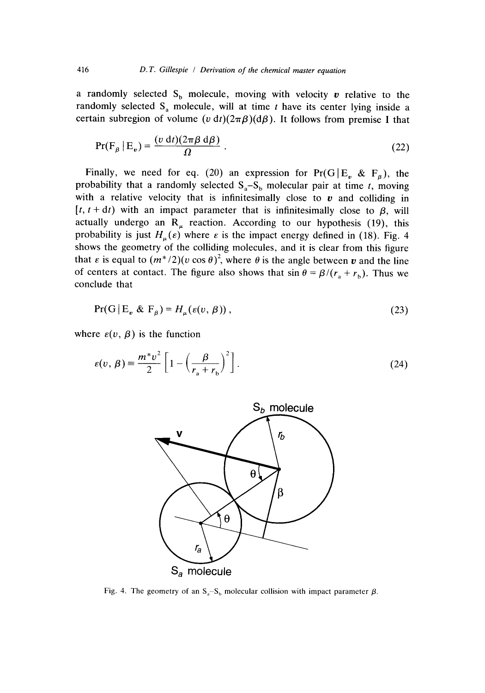a randomly selected  $S_b$  molecule, moving with velocity  $v$  relative to the randomly selected  $S_a$  molecule, will at time t have its center lying inside a certain subregion of volume  $(v \, dt)(2\pi \beta)(d\beta)$ . It follows from premise I that

$$
Pr(F_{\beta} | E_{\nu}) = \frac{(\nu \, dt)(2\pi \beta \, d\beta)}{\Omega} \,. \tag{22}
$$

Finally, we need for eq. (20) an expression for  $Pr(G|E_n \& F_n)$ , the probability that a randomly selected  $S_a-S_b$  molecular pair at time t, moving with a relative velocity that is infinitesimally close to  $v$  and colliding in  $[t, t + dt)$  with an impact parameter that is infinitesimally close to  $\beta$ , will actually undergo an  $R_{\mu}$  reaction. According to our hypothesis (19), this probability is just  $H_u(\varepsilon)$  where  $\varepsilon$  is the impact energy defined in (18). Fig. 4 shows the geometry of the colliding molecules, and it is clear from this figure that  $\varepsilon$  is equal to  $(m^*/2)(v \cos \theta)^2$ , where  $\theta$  is the angle between v and the line of centers at contact. The figure also shows that  $\sin \theta = \beta / (r_a + r_b)$ . Thus we conclude that

$$
Pr(G | Ev & Fβ) = Hμ(\varepsilon(v, \beta)), \tag{23}
$$

where  $\varepsilon(v, \beta)$  is the function

$$
\varepsilon(v,\,\beta) \equiv \frac{m^*v^2}{2} \left[ 1 - \left(\frac{\beta}{r_{\rm a} + r_{\rm b}}\right)^2 \right].\tag{24}
$$



Fig. 4. The geometry of an  $S_a - S_b$  molecular collision with impact parameter  $\beta$ .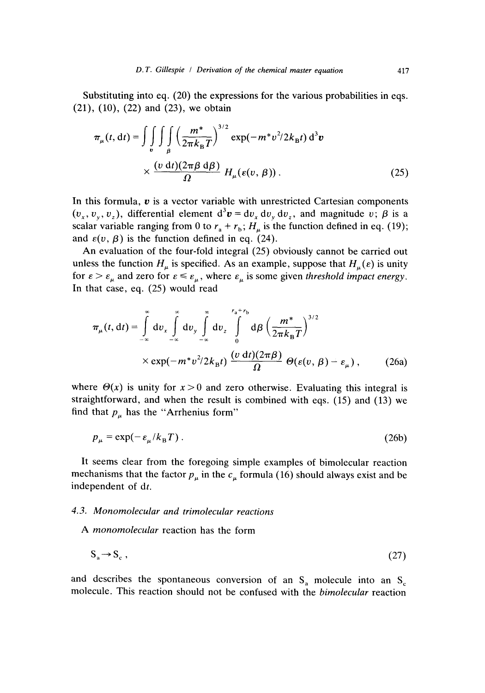Substituting into eq. (20) the expressions for the various probabilities in eqs. (21), (10), (22) and (23), we obtain

$$
\pi_{\mu}(t, dt) = \iiint_{v} \int_{\beta} \left( \frac{m^*}{2\pi k_{B}T} \right)^{3/2} \exp(-m^*v^2/2k_{B}t) d^3v
$$

$$
\times \frac{(v dt)(2\pi\beta d\beta)}{\Omega} H_{\mu}(\varepsilon(v, \beta)). \tag{25}
$$

In this formula,  $\boldsymbol{v}$  is a vector variable with unrestricted Cartesian components  $(v_x, v_y, v_z)$ , differential element  $d^3v = dv_x dv_y dv_z$ , and magnitude v;  $\beta$  is a scalar variable ranging from 0 to  $r_a + r_b$ ;  $H_\mu$  is the function defined in eq. (19); and  $\varepsilon(v, \beta)$  is the function defined in eq. (24).

An evaluation of the four-fold integral (25) obviously cannot be carried out unless the function  $H_{\mu}$  is specified. As an example, suppose that  $H_{\mu}(\varepsilon)$  is unity for  $\varepsilon > \varepsilon_{\mu}$  and zero for  $\varepsilon \leq \varepsilon_{\mu}$ , where  $\varepsilon_{\mu}$  is some given *threshold impact energy*. In that case, eq. (25) would read

$$
\pi_{\mu}(t, dt) = \int_{-\infty}^{\infty} dv_x \int_{-\infty}^{\infty} dv_y \int_{-\infty}^{\infty} dv_z \int_{0}^{r_a + r_b} d\beta \left(\frac{m^*}{2\pi k_B T}\right)^{3/2} \times exp(-m^*v^2/2k_B t) \frac{(\nu dt)(2\pi\beta)}{\Omega} \Theta(\varepsilon(\nu, \beta) - \varepsilon_{\mu}), \qquad (26a)
$$

where  $\Theta(x)$  is unity for  $x > 0$  and zero otherwise. Evaluating this integral is straightforward, and when the result is combined with eqs. (15) and (13) we find that  $p_{\mu}$  has the "Arrhenius form"

$$
p_{\mu} = \exp(-\varepsilon_{\mu}/k_{\text{B}}T) \tag{26b}
$$

It seems clear from the foregoing simple examples of bimolecular reaction mechanisms that the factor  $p_{\mu}$  in the  $c_{\mu}$  formula (16) should always exist and be independent of dt.

# *4.3. Monomolecular and trimolecular reactions*

*A monomolecular* reaction has the form

$$
S_a \to S_c \,, \tag{27}
$$

and describes the spontaneous conversion of an  $S_a$  molecule into an  $S_c$ molecule. This reaction should not be confused with the *bimolecular* reaction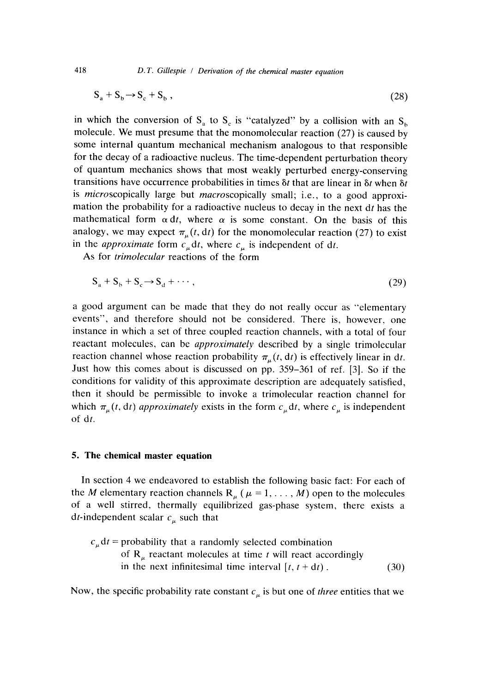418 *D.T. Gillespie / Derivation of the chemical master equation* 

$$
S_a + S_b \rightarrow S_c + S_b , \qquad (28)
$$

in which the conversion of  $S_a$  to  $S_c$  is "catalyzed" by a collision with an  $S_b$ molecule. We must presume that the monomolecular reaction (27) is caused by some internal quantum mechanical mechanism analogous to that responsible for the decay of a radioactive nucleus. The time-dependent perturbation theory of quantum mechanics shows that most weakly perturbed energy-conserving transitions have occurrence probabilities in times  $\delta t$  that are linear in  $\delta t$  when  $\delta t$ is *microscopically* large but *macroscopically* small; i.e., to a good approximation the probability for a radioactive nucleus to decay in the next  $dt$  has the mathematical form  $\alpha$  dt, where  $\alpha$  is some constant. On the basis of this analogy, we may expect  $\pi_a(t, dt)$  for the monomolecular reaction (27) to exist in the *approximate* form  $c_{\mu} dt$ , where  $c_{\mu}$  is independent of dt.

As for *trimolecular* reactions of the form

$$
S_a + S_b + S_c \rightarrow S_d + \cdots, \tag{29}
$$

a good argument can be made that they do not really occur as "elementary events", and therefore should not be considered. There is, however, one instance in which a set of three coupled reaction channels, with a total of four reactant molecules, can be *approximately* described by a single trimolecular reaction channel whose reaction probability  $\pi_u(t, dt)$  is effectively linear in dt. Just how this comes about is discussed on pp. 359-361 of ref. [3]. So if the conditions for validity of this approximate description are adequately satisfied, then it should be permissible to invoke a trimolecular reaction channel for which  $\pi_{\mu}(t, dt)$  *approximately* exists in the form  $c_{\mu} dt$ , where  $c_{\mu}$  is independent of dt.

### **5. The chemical master equation**

In section 4 we endeavored to establish the following basic fact: For each of the M elementary reaction channels R<sub> $\mu$ </sub> ( $\mu = 1, \ldots, M$ ) open to the molecules of a well stirred, thermally equilibrized gas-phase system, there exists a dt-independent scalar  $c_{\mu}$  such that

$$
c_{\mu} dt =
$$
probability that a randomly selected combination  
of R<sub>\mu</sub> reactant molecules at time *t* will react accordingly  
in the next infinitesimal time interval [*t*, *t* + d*t*). (30)

Now, the specific probability rate constant  $c_{\mu}$  is but one of *three* entities that we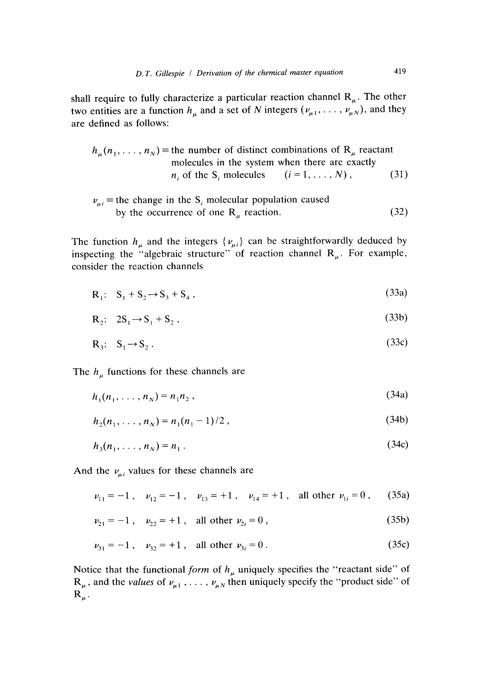shall require to fully characterize a particular reaction channel  $R_{\mu}$ . The other two entities are a function  $h_{\mu}$  and a set of N integers  $(\nu_{\mu 1}, \ldots, \nu_{\mu N})$ , and they are defined as follows:

$$
h_{\mu}(n_1, \dots, n_N) =
$$
the number of distinct combinations of R<sub>\mu</sub> reactant  
molecules in the system when there are exactly  
 $n_i$  of the S<sub>i</sub> molecules  $(i = 1, \dots, N)$ , (31)

$$
\nu_{\mu i} = \text{the change in the } S_i \text{ molecular population caused} \n\text{by the occurrence of one } R_{\mu} \text{ reaction.}
$$
\n(32)

The function  $h_{\mu}$  and the integers  $\{v_{\mu i}\}\)$  can be straightforwardly deduced by inspecting the "algebraic structure" of reaction channel  $R_{\mu}$ . For example, consider the reaction channels

$$
R_1: S_1 + S_2 \to S_3 + S_4, \tag{33a}
$$

$$
\mathbf{R}_2: \quad 2\mathbf{S}_1 \to \mathbf{S}_1 + \mathbf{S}_2 \,, \tag{33b}
$$

$$
\mathbf{R}_3: \quad \mathbf{S}_1 \to \mathbf{S}_2 \,. \tag{33c}
$$

The  $h_{\mu}$  functions for these channels are

$$
h_1(n_1, \ldots, n_N) = n_1 n_2 \,, \tag{34a}
$$

$$
h_2(n_1, \ldots, n_N) = n_1(n_1 - 1)/2 \,, \tag{34b}
$$

$$
h_3(n_1, \ldots, n_N) = n_1 \,. \tag{34c}
$$

And the  $v_{\mu i}$  values for these channels are

$$
\nu_{11} = -1 \,, \quad \nu_{12} = -1 \,, \quad \nu_{13} = +1 \,, \quad \nu_{14} = +1 \,, \quad \text{all other } \nu_{1i} = 0 \,, \tag{35a}
$$

$$
\nu_{21} = -1 \,, \quad \nu_{22} = +1 \,, \quad \text{all other } \nu_{2i} = 0 \,, \tag{35b}
$$

$$
\nu_{31} = -1 \,, \quad \nu_{32} = +1 \,, \quad \text{all other } \nu_{3i} = 0 \,. \tag{35c}
$$

Notice that the functional *form* of  $h_{\mu}$  uniquely specifies the "reactant side" of  $R_{\mu}$ , and the *values* of  $\nu_{\mu 1}$ , ...,  $\nu_{\mu N}$  then uniquely specify the "product side" of  $R_{\mu}$ .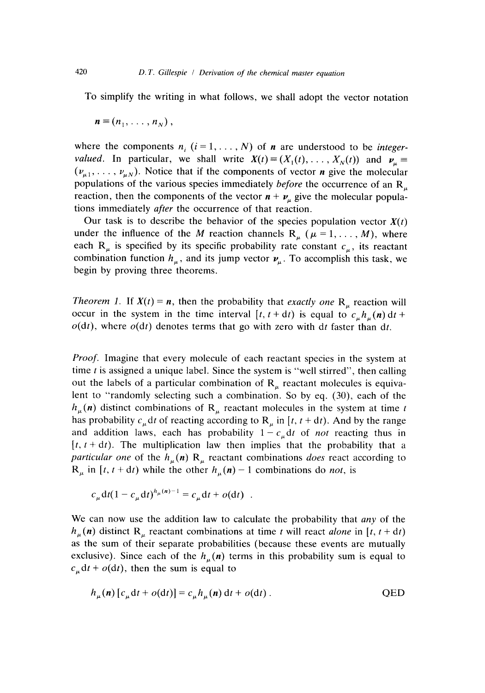To simplify the writing in what follows, we shall adopt the vector notation

$$
\mathbf{n} \equiv (n_1, \ldots, n_N) ,
$$

where the components  $n_i$  ( $i = 1, \ldots, N$ ) of **n** are understood to be *integervalued.* In particular, we shall write  $X(t) = (X_1(t), \ldots, X_N(t))$  and  $\nu_n \equiv$  $(v_{\mu 1}, \ldots, v_{\mu N})$ . Notice that if the components of vector *n* give the molecular populations of the various species immediately *before* the occurrence of an  $\mathbb{R}_{u}$ reaction, then the components of the vector  $n + \nu_{\alpha}$  give the molecular populations immediately *after* the occurrence of that reaction.

Our task is to describe the behavior of the species population vector  $X(t)$ under the influence of the M reaction channels R<sub>u</sub> ( $\mu = 1, \ldots, M$ ), where each R<sub> $\mu$ </sub> is specified by its specific probability rate constant  $c_{\mu}$ , its reactant combination function  $h_{\mu}$ , and its jump vector  $\nu_{\mu}$ . To accomplish this task, we begin by proving three theorems.

*Theorem 1.* If  $X(t) = n$ , then the probability that *exactly one*  $R_\mu$  reaction will occur in the system in the time interval  $[t, t+dt)$  is equal to  $c<sub>u</sub> h<sub>u</sub>(n) dt +$  $o(dt)$ , where  $o(dt)$  denotes terms that go with zero with dt faster than dt.

*Proof.* Imagine that every molecule of each reactant species in the system at time  $t$  is assigned a unique label. Since the system is "well stirred", then calling out the labels of a particular combination of  $R<sub>\mu</sub>$  reactant molecules is equivalent to "randomly selecting such a combination. So by eq. (30), each of the  $h_{\mu}(n)$  distinct combinations of R<sub> $\mu$ </sub> reactant molecules in the system at time t has probability  $c_{\mu}$  dt of reacting according to R<sub> $\mu$ </sub> in [t, t + dt). And by the range and addition laws, each has probability  $1-c<sub>u</sub> dt$  of *not* reacting thus in  $[t, t + dt)$ . The multiplication law then implies that the probability that a *particular one* of the  $h_{\mu}(n)$   $\mathbf{R}_{\mu}$  reactant combinations *does* react according to  $R_u$  in [t, t + dt) while the other  $h_u(n) - 1$  combinations do *not*, is

$$
c_{\mu} dt (1 - c_{\mu} dt)^{h_{\mu}(n)-1} = c_{\mu} dt + o(dt) .
$$

We can now use the addition law to calculate the probability that *any* of the  $h_{\mu}(\boldsymbol{n})$  distinct R<sub>u</sub> reactant combinations at time t will react *alone* in [t, t + dt] as the sum of their separate probabilities (because these events are mutually exclusive). Since each of the  $h_{\mu}(n)$  terms in this probability sum is equal to  $c_{\mu} dt + o(dt)$ , then the sum is equal to

$$
h_{\mu}(n) [c_{\mu} dt + o(dt)] = c_{\mu} h_{\mu}(n) dt + o(dt).
$$
 QED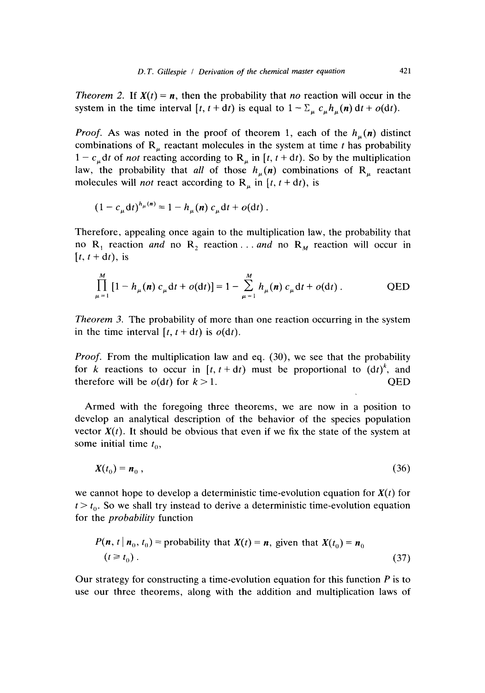*Theorem 2.* If  $X(t) = n$ , then the probability that *no* reaction will occur in the system in the time interval  $[t, t + dt)$  is equal to  $1 - \sum_{\mu} c_{\mu} h_{\mu}(n) dt + o(dt)$ .

*Proof.* As was noted in the proof of theorem 1, each of the  $h_{\mu}(n)$  distinct combinations of  $R<sub>u</sub>$  reactant molecules in the system at time t has probability  $1 - c<sub>\mu</sub>$  dt of *not* reacting according to R<sub> $\mu$ </sub> in [t, t + dt). So by the multiplication law, the probability that *all* of those  $h<sub>u</sub>(n)$  combinations of R<sub>u</sub> reactant molecules will *not* react according to  $R_u$  in [t, t + dt), is

$$
(1 - c_u dt)^{h_\mu(n)} = 1 - h_u(n) c_u dt + o(dt).
$$

Therefore, appealing once again to the multiplication law, the probability that no  $R_1$  reaction *and* no  $R_2$  reaction... *and* no  $R_M$  reaction will occur in  $[t, t + dt)$ , is

$$
\prod_{\mu=1}^{M} [1 - h_{\mu}(n) c_{\mu} dt + o(dt)] = 1 - \sum_{\mu=1}^{M} h_{\mu}(n) c_{\mu} dt + o(dt).
$$
 QED

*Theorem 3.* The probability of more than one reaction occurring in the system in the time interval  $[t, t + dt)$  is  $o(dt)$ .

*Proof.* From the multiplication law and eq. (30), we see that the probability for k reactions to occur in  $[t, t+dt)$  must be proportional to  $(dt)^k$ , and therefore will be  $o(dt)$  for  $k > 1$ . QED

Armed with the foregoing three theorems, we are now in a position to develop an analytical description of the behavior of the species population vector  $X(t)$ . It should be obvious that even if we fix the state of the system at some initial time  $t_0$ ,

$$
X(t_0) = n_0 \tag{36}
$$

we cannot hope to develop a deterministic time-evolution equation for  $X(t)$  for  $t > t_0$ . So we shall try instead to derive a deterministic time-evolution equation for the *probability* function

$$
P(\mathbf{n}, t | \mathbf{n}_0, t_0) = \text{probability that } X(t) = \mathbf{n}, \text{ given that } X(t_0) = \mathbf{n}_0
$$
  
( $t \ge t_0$ ). (37)

Our strategy for constructing a time-evolution equation for this function  $P$  is to use our three theorems, along with the addition and multiplication laws of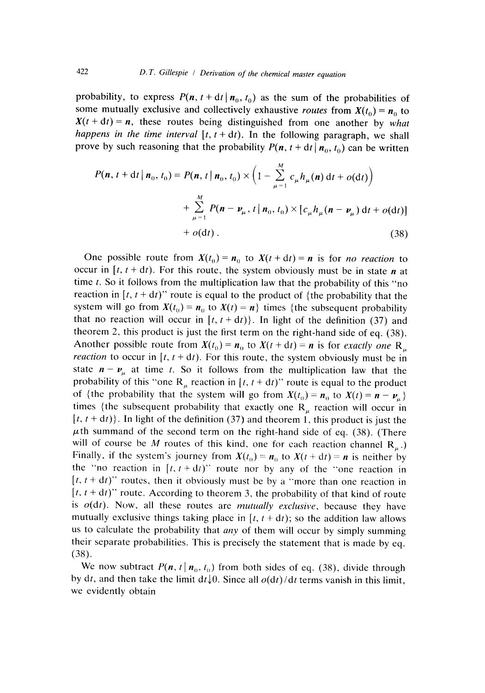probability, to express  $P(n, t + dt | n_0, t_0)$  as the sum of the probabilities of some mutually exclusive and collectively exhaustive *routes* from  $X(t_0) = n_0$  to  $X(t + dt) = n$ , these routes being distinguished from one another by *what happens in the time interval*  $[t, t + dt)$ . In the following paragraph, we shall prove by such reasoning that the probability  $P(n, t + dt | n_0, t_0)$  can be written

$$
P(\boldsymbol{n}, t + dt | \boldsymbol{n}_0, t_0) = P(\boldsymbol{n}, t | \boldsymbol{n}_0, t_0) \times \left(1 - \sum_{\mu=1}^M c_{\mu} h_{\mu}(\boldsymbol{n}) dt + o(dt)\right)
$$
  
+ 
$$
\sum_{\mu=1}^M P(\boldsymbol{n} - \boldsymbol{\nu}_{\mu}, t | \boldsymbol{n}_0, t_0) \times [c_{\mu} h_{\mu}(\boldsymbol{n} - \boldsymbol{\nu}_{\mu}) dt + o(dt)]
$$
  
+ 
$$
o(dt).
$$
 (38)

One possible route from  $X(t_0) = n_0$  to  $X(t + dt) = n$  is for *no reaction* to occur in  $[t, t + dt)$ . For this route, the system obviously must be in state *n* at time  $t$ . So it follows from the multiplication law that the probability of this "no reaction in  $[t, t + dt)$ " route is equal to the product of {the probability that the system will go from  $X(t_0) = n_0$  to  $X(t) = n$ } times {the subsequent probability that no reaction will occur in  $[t, t + dt)$ . In light of the definition (37) and theorem 2, this product is just the first term on the right-hand side of eq. (38). Another possible route from  $X(t_0) = n_0$  to  $X(t + dt) = n$  is for *exactly one* R *reaction* to occur in  $[t, t + dt)$ . For this route, the system obviously must be in state  $n-\nu_{\mu}$  at time t. So it follows from the multiplication law that the probability of this "one  $R_u$  reaction in  $[t, t + dt]$ " route is equal to the product of {the probability that the system will go from  $X(t_0) = n_0$  to  $X(t) = n - \nu_a$ } times {the subsequent probability that exactly one  $R<sub>\mu</sub>$  reaction will occur in  $\{t, t + dt\}$ . In light of the definition (37) and theorem 1, this product is just the  $\mu$ th summand of the second term on the right-hand side of eq. (38). (There will of course be M routes of this kind, one for each reaction channel  $\mathbf{R}_{\mu}$ .) Finally, if the system's journey from  $X(t_0) = n_0$  to  $X(t + dt) = n$  is neither by the "no reaction in  $[t, t + dt]$ " route nor by any of the "one reaction in  $[t, t + dt)$ " routes, then it obviously must be by a "more than one reaction in  $[t, t + dt)$ " route. According to theorem 3, the probability of that kind of route is o(dt). Now, all these routes are *mutually exclusive,* because they have mutually exclusive things taking place in  $[t, t + dt)$ ; so the addition law allows us to calculate the probability that *any* of them will occur by simply summing their separate probabilities. This is precisely the statement that is made by eq. (38).

We now subtract  $P(n, t | n_0, t_0)$  from both sides of eq. (38), divide through by dt, and then take the limit  $dt\downarrow0$ . Since all  $o(dt)/dt$  terms vanish in this limit, we evidently obtain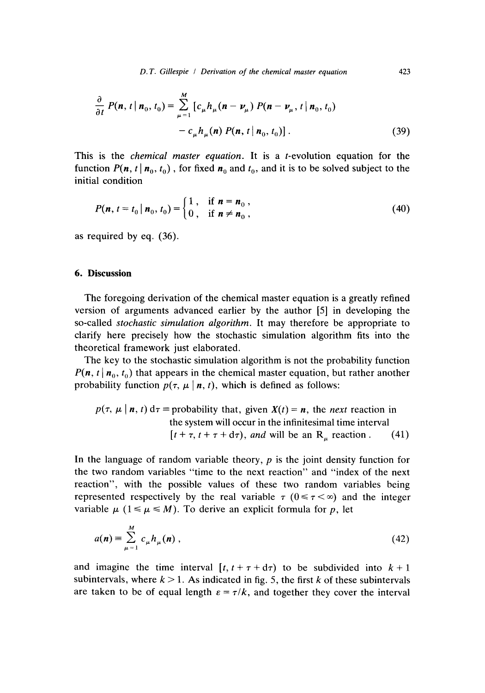$$
\frac{\partial}{\partial t} P(\mathbf{n}, t | \mathbf{n}_0, t_0) = \sum_{\mu=1}^{M} \left[ c_{\mu} h_{\mu} (\mathbf{n} - \mathbf{v}_{\mu}) P(\mathbf{n} - \mathbf{v}_{\mu}, t | \mathbf{n}_0, t_0) - c_{\mu} h_{\mu}(\mathbf{n}) P(\mathbf{n}, t | \mathbf{n}_0, t_0) \right].
$$
\n(39)

This is the *chemical master equation.* It is a t-evolution equation for the function  $P(n, t | n_0, t_0)$ , for fixed  $n_0$  and  $t_0$ , and it is to be solved subject to the initial condition

$$
P(n, t = t_0 | n_0, t_0) = \begin{cases} 1, & \text{if } n = n_0, \\ 0, & \text{if } n \neq n_0, \end{cases}
$$
 (40)

as required by eq. (36).

## **6. Discussion**

The foregoing derivation of the chemical master equation is a greatly refined version of arguments advanced earlier by the author [5] in developing the so-called *stochastic simulation algorithm.* It may therefore be appropriate to clarify here precisely how the stochastic simulation algorithm fits into the theoretical framework just elaborated.

The key to the stochastic simulation algorithm is not the probability function  $P(n, t | n_0, t_0)$  that appears in the chemical master equation, but rather another probability function  $p(\tau, \mu | n, t)$ , which is defined as follows:

$$
p(\tau, \mu \mid n, t) d\tau = \text{probability that, given } X(t) = n, \text{ the next reaction in}
$$
  
the system will occur in the infinitesimal time interval  

$$
[t + \tau, t + \tau + d\tau), \text{ and will be an Ru reaction.} \tag{41}
$$

In the language of random variable theory,  $p$  is the joint density function for the two random variables "time to the next reaction" and "index of the next reaction", with the possible values of these two random variables being represented respectively by the real variable  $\tau$  ( $0 \le \tau \le \infty$ ) and the integer variable  $\mu$  (1  $\le \mu \le M$ ). To derive an explicit formula for p, let

$$
a(\mathbf{n}) = \sum_{\mu=1}^{M} c_{\mu} h_{\mu}(\mathbf{n}), \qquad (42)
$$

and imagine the time interval  $[t, t + \tau + d\tau)$  to be subdivided into  $k + 1$ subintervals, where  $k > 1$ . As indicated in fig. 5, the first k of these subintervals are taken to be of equal length  $\varepsilon = \tau/k$ , and together they cover the interval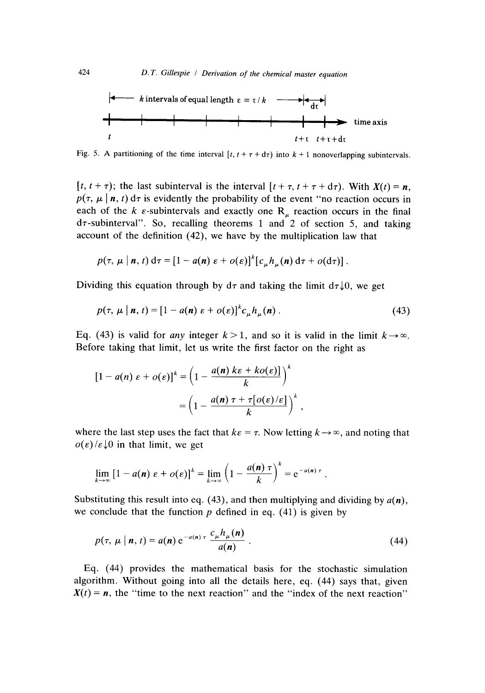

Fig. 5. A partitioning of the time interval  $[t, t + \tau + d\tau)$  into  $k + 1$  nonoverlapping subintervals.

 $[t, t + \tau)$ ; the last subinterval is the interval  $[t + \tau, t + \tau + d\tau)$ . With  $X(t) = n$ ,  $p(\tau, \mu | n, t)$  d $\tau$  is evidently the probability of the event "no reaction occurs in each of the k  $\varepsilon$ -subintervals and exactly one  $R_{\mu}$  reaction occurs in the final  $d\tau$ -subinterval". So, recalling theorems 1 and 2 of section 5, and taking account of the definition (42), we have by the multiplication law that

$$
p(\tau, \mu \mid n, t) d\tau = [1 - a(n) \varepsilon + o(\varepsilon)]^{k} [c_{\mu} h_{\mu}(n) d\tau + o(d\tau)].
$$

Dividing this equation through by  $d\tau$  and taking the limit  $d\tau\downarrow 0$ , we get

$$
p(\tau, \mu \mid \boldsymbol{n}, t) = [1 - a(\boldsymbol{n}) \varepsilon + o(\varepsilon)]^{k} c_{\mu} h_{\mu}(\boldsymbol{n}). \qquad (43)
$$

Eq. (43) is valid for *any* integer  $k>1$ , and so it is valid in the limit  $k\rightarrow\infty$ . Before taking that limit, let us write the first factor on the right as

$$
[1 - a(n) \varepsilon + o(\varepsilon)]^k = \left(1 - \frac{a(n) k\varepsilon + ko(\varepsilon)}{k}\right)^k
$$

$$
= \left(1 - \frac{a(n) \tau + \tau[o(\varepsilon)/\varepsilon]}{k}\right)^k
$$

where the last step uses the fact that  $k\varepsilon = \tau$ . Now letting  $k \to \infty$ , and noting that  $o(\varepsilon)/\varepsilon$ ,  $\downarrow$ 0 in that limit, we get

$$
\lim_{k\to\infty}\left[1-a(\mathbf{n})\,\varepsilon+o(\varepsilon)\right]^k=\lim_{k\to\infty}\left(1-\frac{a(\mathbf{n})\,\tau}{k}\right)^k=e^{-a(\mathbf{n})\,\tau}.
$$

Substituting this result into eq. (43), and then multiplying and dividing by  $a(n)$ , we conclude that the function  $p$  defined in eq. (41) is given by

$$
p(\tau, \mu \mid n, t) = a(n) e^{-a(n)\tau} \frac{c_{\mu} h_{\mu}(n)}{a(n)} \,. \tag{44}
$$

Eq. (44) provides the mathematical basis for the stochastic simulation algorithm. Without going into all the details here, eq. (44) says that, given  $X(t) = n$ , the "time to the next reaction" and the "index of the next reaction"